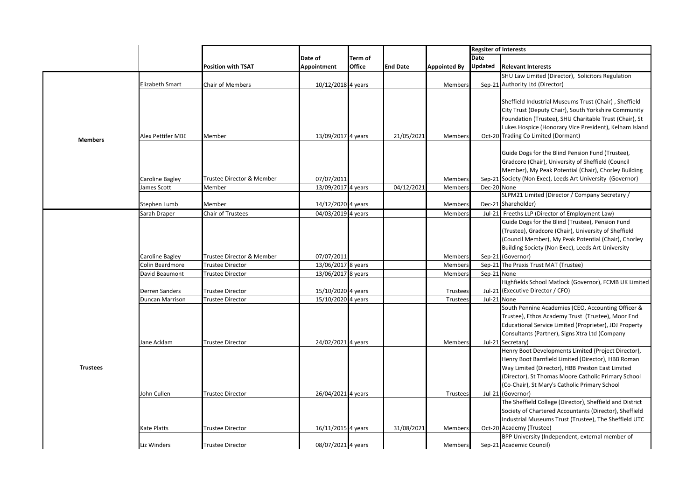|                 |                                |                                     |                                          |               |                 |                     | <b>Regsiter of Interests</b> |                                                                                                                                                                                                                                                                                            |
|-----------------|--------------------------------|-------------------------------------|------------------------------------------|---------------|-----------------|---------------------|------------------------------|--------------------------------------------------------------------------------------------------------------------------------------------------------------------------------------------------------------------------------------------------------------------------------------------|
|                 |                                |                                     | Date of                                  | Term of       |                 |                     | Date                         |                                                                                                                                                                                                                                                                                            |
|                 |                                | <b>Position with TSAT</b>           | Appointment                              | <b>Office</b> | <b>End Date</b> | <b>Appointed By</b> | Updated                      | <b>Relevant Interests</b>                                                                                                                                                                                                                                                                  |
|                 |                                |                                     |                                          |               |                 |                     |                              | SHU Law Limited (Director), Solicitors Regulation                                                                                                                                                                                                                                          |
|                 | Elizabeth Smart                | <b>Chair of Members</b>             | 10/12/2018 4 years                       |               |                 | Members             |                              | Sep-21 Authority Ltd (Director)                                                                                                                                                                                                                                                            |
| <b>Members</b>  | Alex Pettifer MBE              | Member                              | 13/09/2017 4 years                       |               | 21/05/2021      | Members             |                              | Sheffield Industrial Museums Trust (Chair), Sheffield<br>City Trust (Deputy Chair), South Yorkshire Community<br>Foundation (Trustee), SHU Charitable Trust (Chair), St<br>Lukes Hospice (Honorary Vice President), Kelham Island<br>Oct-20 Trading Co Limited (Dormant)                   |
|                 | Caroline Bagley<br>James Scott | Trustee Director & Member<br>Member | 07/07/2011<br>13/09/2017 4 years         |               | 04/12/2021      | Members<br>Members  | Dec-20 None                  | Guide Dogs for the Blind Pension Fund (Trustee),<br>Gradcore (Chair), University of Sheffield (Council<br>Member), My Peak Potential (Chair), Chorley Building<br>Sep-21 Society (Non Exec), Leeds Art University (Governor)<br>SLPM21 Limited (Director / Company Secretary /             |
|                 | Stephen Lumb<br>Sarah Draper   | Member<br>Chair of Trustees         | 14/12/2020 4 years<br>04/03/2019 4 years |               |                 | Members             |                              | Dec-21 Shareholder)<br>Jul-21 Freeths LLP (Director of Employment Law)                                                                                                                                                                                                                     |
|                 |                                |                                     |                                          |               |                 | Members             |                              | Guide Dogs for the Blind (Trustee), Pension Fund<br>(Trustee), Gradcore (Chair), University of Sheffield<br>(Council Member), My Peak Potential (Chair), Chorley<br>Building Society (Non Exec), Leeds Art University                                                                      |
|                 | Caroline Bagley                | Trustee Director & Member           | 07/07/2011                               |               |                 | Members             |                              | Sep-21 (Governor)                                                                                                                                                                                                                                                                          |
|                 | Colin Beardmore                | <b>Trustee Director</b>             | 13/06/2017 8 years                       |               |                 | Members             |                              | Sep-21 The Praxis Trust MAT (Trustee)                                                                                                                                                                                                                                                      |
|                 | David Beaumont                 | <b>Trustee Director</b>             | 13/06/2017 8 years                       |               |                 | Members             | Sep-21 None                  |                                                                                                                                                                                                                                                                                            |
|                 | Derren Sanders                 | <b>Trustee Director</b>             | 15/10/2020 4 years                       |               |                 | Trustees            |                              | Highfields School Matlock (Governor), FCMB UK Limited<br>Jul-21 (Executive Director / CFO)                                                                                                                                                                                                 |
|                 | Duncan Marrison                | <b>Trustee Director</b>             | 15/10/2020 4 years                       |               |                 | Trustees            | Jul-21 None                  |                                                                                                                                                                                                                                                                                            |
|                 | Jane Acklam                    | <b>Trustee Director</b>             | 24/02/2021 4 years                       |               |                 | Members             |                              | South Pennine Academies (CEO, Accounting Officer &<br>Trustee), Ethos Academy Trust (Trustee), Moor End<br>Educational Service Limited (Proprieter), JDJ Property<br>Consultants (Partner), Signs Xtra Ltd (Company<br>Jul-21 Secretary)                                                   |
| <b>Trustees</b> | John Cullen                    | <b>Trustee Director</b>             |                                          |               |                 |                     |                              | Henry Boot Developments Limited (Project Director),<br>Henry Boot Barnfield Limited (Director), HBB Roman<br>Way Limited (Director), HBB Preston East Limited<br>(Director), St Thomas Moore Catholic Primary School<br>(Co-Chair), St Mary's Catholic Primary School<br>Jul-21 (Governor) |
|                 |                                |                                     | 26/04/2021 4 years                       |               |                 | Trustees            |                              | The Sheffield College (Director), Sheffield and District                                                                                                                                                                                                                                   |
|                 | Kate Platts                    | <b>Trustee Director</b>             | 16/11/2015 4 years                       |               | 31/08/2021      | Members             |                              | Society of Chartered Accountants (Director), Sheffield<br>Industrial Museums Trust (Trustee), The Sheffield UTC<br>Oct-20 Academy (Trustee)                                                                                                                                                |
|                 |                                |                                     |                                          |               |                 |                     |                              | BPP University (Independent, external member of                                                                                                                                                                                                                                            |
|                 | Liz Winders                    | <b>Trustee Director</b>             | 08/07/2021 4 years                       |               |                 | Members             |                              | Sep-21 Academic Council)                                                                                                                                                                                                                                                                   |